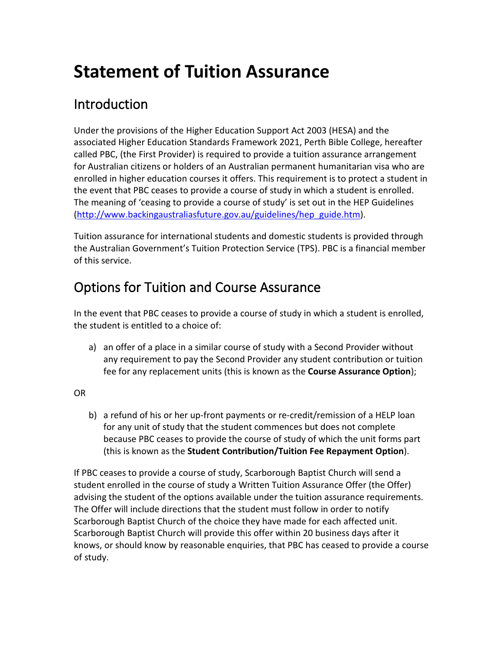# **Statement of Tuition Assurance**

# **Introduction**

Under the provisions of the Higher Education Support Act 2003 (HESA) and the associated Higher Education Standards Framework 2021, Perth Bible College, hereafter called PBC, (the First Provider) is required to provide a tuition assurance arrangement for Australian citizens or holders of an Australian permanent humanitarian visa who are enrolled in higher education courses it offers. This requirement is to protect a student in the event that PBC ceases to provide a course of study in which a student is enrolled. The meaning of 'ceasing to provide a course of study' is set out in the HEP Guidelines [\(http://www.backingaustraliasfuture.gov.au/guidelines/hep\\_guide.htm\)](http://www.backingaustraliasfuture.gov.au/guidelines/hep_guide.htm).

Tuition assurance for international students and domestic students is provided through the Australian Government's Tuition Protection Service (TPS). PBC is a financial member of this service.

# Options for Tuition and Course Assurance

In the event that PBC ceases to provide a course of study in which a student is enrolled, the student is entitled to a choice of:

a) an offer of a place in a similar course of study with a Second Provider without any requirement to pay the Second Provider any student contribution or tuition fee for any replacement units (this is known as the **Course Assurance Option**);

OR

b) a refund of his or her up-front payments or re-credit/remission of a HELP loan for any unit of study that the student commences but does not complete because PBC ceases to provide the course of study of which the unit forms part (this is known as the **Student Contribution/Tuition Fee Repayment Option**).

If PBC ceases to provide a course of study, Scarborough Baptist Church will send a student enrolled in the course of study a Written Tuition Assurance Offer (the Offer) advising the student of the options available under the tuition assurance requirements. The Offer will include directions that the student must follow in order to notify Scarborough Baptist Church of the choice they have made for each affected unit. Scarborough Baptist Church will provide this offer within 20 business days after it knows, or should know by reasonable enquiries, that PBC has ceased to provide a course of study.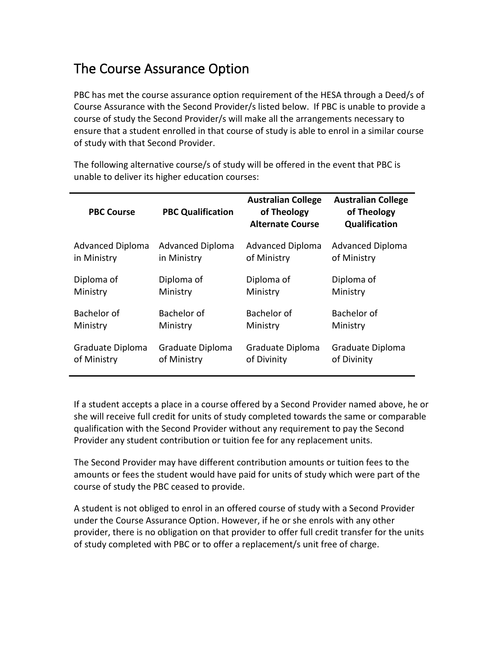#### The Course Assurance Option

PBC has met the course assurance option requirement of the HESA through a Deed/s of Course Assurance with the Second Provider/s listed below. If PBC is unable to provide a course of study the Second Provider/s will make all the arrangements necessary to ensure that a student enrolled in that course of study is able to enrol in a similar course of study with that Second Provider.

The following alternative course/s of study will be offered in the event that PBC is unable to deliver its higher education courses:

| <b>PBC Course</b>       | <b>PBC Qualification</b> | <b>Australian College</b><br>of Theology<br><b>Alternate Course</b> | <b>Australian College</b><br>of Theology<br>Qualification |
|-------------------------|--------------------------|---------------------------------------------------------------------|-----------------------------------------------------------|
| <b>Advanced Diploma</b> | <b>Advanced Diploma</b>  | <b>Advanced Diploma</b>                                             | <b>Advanced Diploma</b>                                   |
| in Ministry             | in Ministry              | of Ministry                                                         | of Ministry                                               |
| Diploma of              | Diploma of               | Diploma of                                                          | Diploma of                                                |
| Ministry                | Ministry                 | Ministry                                                            | Ministry                                                  |
| Bachelor of             | Bachelor of              | Bachelor of                                                         | Bachelor of                                               |
| Ministry                | Ministry                 | Ministry                                                            | Ministry                                                  |
| Graduate Diploma        | Graduate Diploma         | Graduate Diploma                                                    | Graduate Diploma                                          |
| of Ministry             | of Ministry              | of Divinity                                                         | of Divinity                                               |

If a student accepts a place in a course offered by a Second Provider named above, he or she will receive full credit for units of study completed towards the same or comparable qualification with the Second Provider without any requirement to pay the Second Provider any student contribution or tuition fee for any replacement units.

The Second Provider may have different contribution amounts or tuition fees to the amounts or fees the student would have paid for units of study which were part of the course of study the PBC ceased to provide.

A student is not obliged to enrol in an offered course of study with a Second Provider under the Course Assurance Option. However, if he or she enrols with any other provider, there is no obligation on that provider to offer full credit transfer for the units of study completed with PBC or to offer a replacement/s unit free of charge.